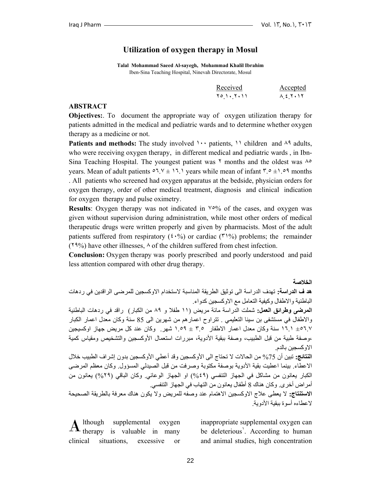# **Utilization of oxygen therapy in Mosul**

**Talal Mohammad Saeed Al-sayegh, Mohammad Khalil Ibrahim**  Iben-Sina Teaching Hospital, Ninevah Directorate, Mosul

| Received   | <u>Accepted</u>                                            |
|------------|------------------------------------------------------------|
| 70 1. 7.11 | $\lambda$ { $\lambda$ $\lambda$ $\lambda$<br>$\sim$ $\sim$ |

#### **ABSTRACT**

**Objectives:**. To document the appropriate way of oxygen utilization therapy for patients admitted in the medical and pediatric wards and to determine whether oxygen therapy as a medicine or not.

Patients and methods: The study involved 1... patients, 11 children and <sup> $\Lambda$ 9</sup> adults, who were receiving oxygen therapy, in different medical and pediatric wards , in Ibn-Sina Teaching Hospital. The youngest patient was  $\gamma$  months and the oldest was  $\lambda^{\circ}$ years. Mean of adult patients  $\circ 7.7 \pm 17.1$  years while mean of infant  $\frac{7.0 \pm 1.09}{7}$  months . All patients who screened had oxygen apparatus at the bedside, physician orders for oxygen therapy, order of other medical treatment, diagnosis and clinical indication for oxygen therapy and pulse oximetry.

**Results**: Oxygen therapy was not indicated in  $\sqrt{0.0}$  of the cases, and oxygen was given without supervision during administration, while most other orders of medical therapeutic drugs were written properly and given by pharmacists. Most of the adult patients suffered from respiratory  $(2.6\%)$  or cardiac  $(1\%)$  problems; the remainder ( $19\%$ ) have other illnesses,  $\wedge$  of the children suffered from chest infection.

**Conclusion:** Oxygen therapy was poorly prescribed and poorly understood and paid less attention compared with other drug therapy.

**الخلاصة هد ف الدراسة:** تهدف الدراسة الى توثيق الطريقة المناسبة لاستخدام الاوآسجين للمرضى الراقدين في ردهات الباطنية والاطفال وكيفية التعامل مع الاوكسجين كدواء. **المرضى وطرائق العمل:** شملت الدراسة مائة مريض (١١ طفلا و ٨٩ من الكبار) راقد في ردهات الباطنية والاطفال في مستشفى بن سينا التعليمي . تتراوح اعمارهم من شهرين الى 85 سنة وآان معدل اعمار الكبار ٠٥٦.٧ 1٦.١ سنة وكان معدل اعمار الاطفار ٣.٥ ± ١.٥٩ شهر. وكان عند كل مريض جهاز اوكسيجين ،وصفة طبية من قبل الطبيب، وصفة ببقية الأدوية، مبررات استعمال الأوكسجين والتشخيص ومقياس كمية الاو كسجين بالدم. ا**لنتائج:** تبين أن 75% من الحالات لا تحتاج الى الأوكسجين وقد أعطي الأوكسجين بدون إشر اف الطبيب خلال الاعطاء. بينما اعطيت بقية الأدوية بوصفة مكتوبة وصرفت من قبل الصيدلي المسؤول. وكان معظم المرضى الكبار يعانون من مشاكل في الجهاز التنفسي (٤٩%) او الجهاز الوعائي. وكان الباقي (٢٩%) يعانون من أمراض أخرى. وكان هناك 8 أطفال يعانون من التهاب في الجهاز التنفسي. **الاستنتاج:** لا يعطى علاج الاوآسجين الاهتمام عند وصفه للمريض ولا يكون هناك معرفة بالطريقة الصحيحة لاعطاءه أسوة ببقية الأدوية.

lthough supplemental oxygen therapy is valuable in many clinical situations, excessive or A

inappropriate supplemental oxygen can be deleterious<sup>'</sup>. According to human and animal studies, high concentration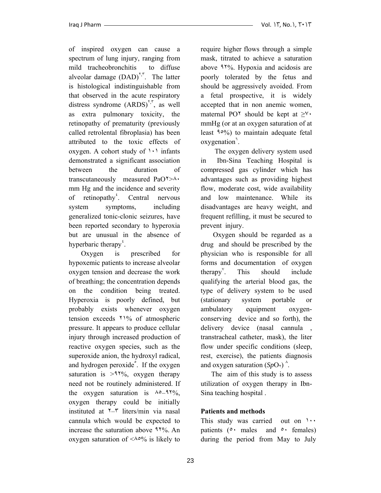of inspired oxygen can cause a spectrum of lung injury, ranging from mild tracheobronchitis to diffuse alveolar damage  $(DAD)^{\tau,\tau}$ . The latter is histological indistinguishable from that observed in the acute respiratory distress syndrome  $(ARDS)^{1,7}$ , as well as extra pulmonary toxicity, the retinopathy of prematurity (previously called retrolental fibroplasia) has been attributed to the toxic effects of oxygen. A cohort study of  $\cdots$  infants demonstrated a significant association between the duration of transcutaneously measured PaO٢>٨٠ mm Hg and the incidence and severity of retinopathy<sup>'</sup>. Central nervous system symptoms, including generalized tonic-clonic seizures, have been reported secondary to hyperoxia but are unusual in the absence of hyperbaric therapy<sup>'</sup>.

 Oxygen is prescribed for hypoxemic patients to increase alveolar oxygen tension and decrease the work of breathing; the concentration depends on the condition being treated. Hyperoxia is poorly defined, but probably exists whenever oxygen tension exceeds ٢١% of atmospheric pressure. It appears to produce cellular injury through increased production of reactive oxygen species, such as the superoxide anion, the hydroxyl radical, and hydrogen peroxide<sup>°</sup>. If the oxygen saturation is  $>1\%$ , oxygen therapy need not be routinely administered. If the oxygen saturation is  $\lambda \circ 97\%,$ oxygen therapy could be initially instituted at ٢–٣ liters/min via nasal cannula which would be expected to increase the saturation above ٩٢%. An oxygen saturation of  $\langle \wedge^{\circ} \phi \rangle$  is likely to

require higher flows through a simple mask, titrated to achieve a saturation above ٩٢%. Hypoxia and acidosis are poorly tolerated by the fetus and should be aggressively avoided. From a fetal prospective, it is widely accepted that in non anemic women, maternal PO<sup> $\tau$ </sup> should be kept at  $\geq^{\gamma} \tau$ mmHg (or at an oxygen saturation of at least ٩٥%) to maintain adequate fetal oxygenation<sup>7</sup>.

 The oxygen delivery system used in Ibn-Sina Teaching Hospital is compressed gas cylinder which has advantages such as providing highest flow, moderate cost, wide availability and low maintenance. While its disadvantages are heavy weight, and frequent refilling, it must be secured to prevent injury.

 Oxygen should be regarded as a drug and should be prescribed by the physician who is responsible for all forms and documentation of oxygen therapy $\mathbf{v}^{\prime}$ . . This should include qualifying the arterial blood gas, the type of delivery system to be used (stationary system portable or ambulatory equipment oxygenconserving device and so forth), the delivery device (nasal cannula , transtracheal catheter, mask), the liter flow under specific conditions (sleep, rest, exercise), the patients diagnosis and oxygen saturation  $(SpO<sub>1</sub>)$ <sup> $\wedge$ </sup>.

 The aim of this study is to assess utilization of oxygen therapy in Ibn-Sina teaching hospital .

# **Patients and methods**

This study was carried out on  $\cdots$ patients  $(0 \cdot \text{ males} \text{ and } 0 \cdot \text{ females})$ during the period from May to July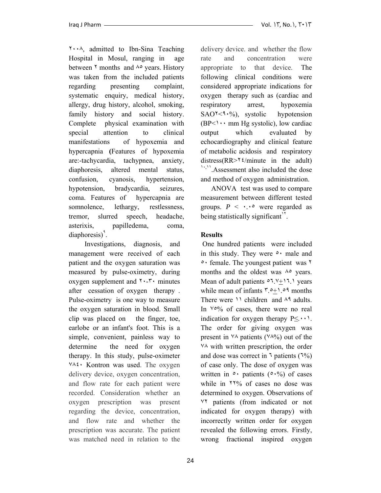٢٠٠٨, admitted to Ibn-Sina Teaching Hospital in Mosul, ranging in age between  $\gamma$  months and  $\lambda$ ° years. History was taken from the included patients regarding presenting complaint, systematic enquiry, medical history, allergy, drug history, alcohol, smoking, family history and social history. Complete physical examination with special attention to clinical manifestations of hypoxemia and hypercapnia **(**Features of hypoxemia are:-tachycardia, tachypnea, anxiety, diaphoresis, altered mental status, confusion, cyanosis, hypertension, hypotension, bradycardia, seizures, coma. Features of hypercapnia are somnolence, lethargy, restlessness, tremor, slurred speech, headache, asterixis, papilledema, coma,  $diaphoresis)$ <sup>9</sup>.

 Investigations, diagnosis, and management were received of each patient and the oxygen saturation was measured by pulse-oximetry, during oxygen supplement and  $\mathbf{r} \cdot \mathbf{r}$  minutes after cessation of oxygen therapy . Pulse-oximetry is one way to measure the oxygen saturation in blood. Small clip was placed on the finger, toe, earlobe or an infant's foot. This is a simple, convenient, painless way to determine the need for oxygen therapy. In this study, pulse-oximeter ٧٨٤٠ Kontron was used. The oxygen delivery device, oxygen concentration, and flow rate for each patient were recorded. Consideration whether an oxygen prescription was present regarding the device, concentration, and flow rate and whether the prescription was accurate. The patient was matched need in relation to the delivery device. and whether the flow rate and concentration were appropriate to that device. The following clinical conditions were considered appropriate indications for oxygen therapy such as (cardiac and respiratory arrest, hypoxemia  $SAO^{\dagger}$  <9.  $\%$ ), systolic hypotension  $(BP<\cdots$  mm Hg systolic), low cardiac output which evaluated by echocardiography and clinical feature of metabolic acidosis and respiratory distress( $RR > \frac{1}{2}$ /minute in the adult) <sup>١٠</sup>,<sup>١١</sup>.Assessment also included the dose and method of oxygen administration.

 ANOVA test was used to compare measurement between different tested groups.  $P \leq \cdot \cdot \cdot$  were regarded as being statistically significant<sup> $1$ \*</sup>.

## **Results**

 One hundred patients were included in this study. They were  $\circ$  male and ٥٠ female. The youngest patient was ٢ months and the oldest was  $\lambda$ ° years. Mean of adult patients  $\circ$ <sup>1</sup>. $\vee$ + $\circ$ <sup>1</sup>. $\circ$  years while mean of infants ٣.٥+١.٥٩ months There were  $\lambda$  children and  $\lambda$ <sup>9</sup> adults. In  $\sqrt{0.06}$  of cases, there were no real indication for oxygen therapy  $P \leq \cdots$ . The order for giving oxygen was present in  $\forall \lambda$  patients ( $\forall \lambda\%$ ) out of the ٧٨ with written prescription, the order and dose was correct in  $\frac{1}{2}$  patients ( $\frac{1}{2}$ ) of case only. The dose of oxygen was written in  $\circ$  patients ( $\circ$ , $\circ\circ$ ) of cases while in ٢٢% of cases no dose was determined to oxygen. Observations of ٧٢ patients (from indicated or not indicated for oxygen therapy) with incorrectly written order for oxygen revealed the following errors. Firstly, wrong fractional inspired oxygen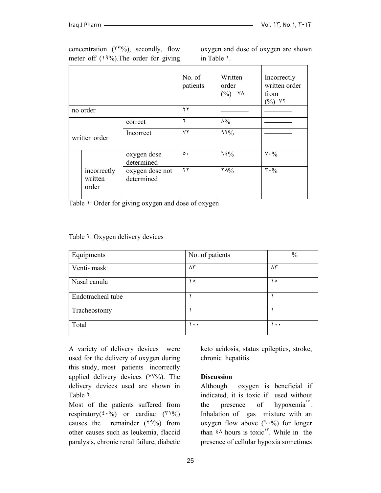|               |                                 |                               | No. of<br>patients     | Written<br>order<br>$(\%)$<br>ヾヘ | Incorrectly<br>written order<br>from<br>$(\%)$ YY |
|---------------|---------------------------------|-------------------------------|------------------------|----------------------------------|---------------------------------------------------|
|               | no order                        |                               | $\mathbf{y}$           |                                  |                                                   |
| written order |                                 | correct                       | ٦                      | $\lambda\%$                      |                                                   |
|               |                                 | Incorrect                     | $\mathsf{Y}\mathsf{Y}$ | 97%                              |                                                   |
|               |                                 | oxygen dose<br>determined     | $\circ$ .              | $7.5\%$                          | $V \cdot \frac{0}{0}$                             |
|               | incorrectly<br>written<br>order | oxygen dose not<br>determined | ۲۲                     | $Y \wedge 9/6$                   | $\mathbf{r} \cdot \mathbf{0}_{0}$                 |

concentration  $(\Upsilon^{\dagger\varphi}\% )$ , secondly, flow meter off  $(19\%)$ . The order for giving oxygen and dose of oxygen are shown in Table ١.

Table 1: Order for giving oxygen and dose of oxygen

Table <sup>1</sup>: Oxygen delivery devices

| Equipments        | No. of patients   | $\frac{0}{0}$ |
|-------------------|-------------------|---------------|
| Venti-mask        | $\wedge\breve{r}$ | ۸۳            |
| Nasal canula      | $\circ$           | ه ۱           |
| Endotracheal tube |                   |               |
| Tracheostomy      |                   |               |
| Total             | ۱۰۰               | ۱۰۰           |

A variety of delivery devices were used for the delivery of oxygen during this study, most patients incorrectly applied delivery devices (٧٧%). The delivery devices used are shown in Table ٢.

Most of the patients suffered from respiratory( $\mathfrak{t} \cdot \mathfrak{Y}_0$ ) or cardiac ( $\mathfrak{Y}_0$ ) causes the remainder (٢٩%) from other causes such as leukemia, flaccid paralysis, chronic renal failure, diabetic keto acidosis, status epileptics, stroke, chronic hepatitis.

## **Discussion**

Although oxygen is beneficial if indicated, it is toxic if used without the presence of hypoxemia<sup>1 $\degree$ </sup>. Inhalation of gas mixture with an oxygen flow above  $(7.%)$  for longer than  $\epsilon \wedge$  hours is toxic<sup>1</sup><sup>r</sup>. While in the presence of cellular hypoxia sometimes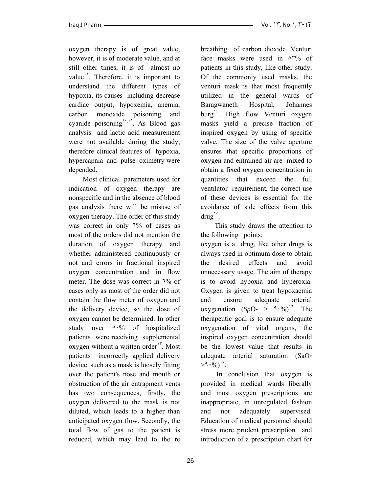oxygen therapy is of great value; however, it is of moderate value, and at still other times, it is of almost no value<sup>1</sup>. Therefore, it is important to understand the different types of hypoxia, its causes including decrease cardiac output, hypoxemia, anemia, carbon monoxide poisoning and cyanide poisoning<sup>1,11</sup>. As Blood gas analysis and lactic acid measurement were not available during the study, therefore clinical features of hypoxia, hypercapnia and pulse oximetry were depended.

 Most clinical parameters used for indication of oxygen therapy are nonspecific and in the absence of blood gas analysis there will be misuse of oxygen therapy. The order of this study was correct in only <sup>1%</sup> of cases as most of the orders did not mention the duration of oxygen therapy and whether administered continuously or not and errors in fractional inspired oxygen concentration and in flow meter. The dose was correct in  $\frac{1}{6}$  of cases only as most of the order did not contain the flow meter of oxygen and the delivery device, so the dose of oxygen cannot be determined. In other study over  $0.06$  of hospitalized patients were receiving supplemental oxygen without a written order<sup>1</sup>. Most patients incorrectly applied delivery device such as a mask is loosely fitting over the patient's nose and mouth or obstruction of the air entrapment vents has two consequences, firstly, the oxygen delivered to the mask is not diluted, which leads to a higher than anticipated oxygen flow. Secondly, the total flow of gas to the patient is reduced, which may lead to the re

breathing of carbon dioxide. Venturi face masks were used in ٨٣% of patients in this study, like other study. Of the commonly used masks, the venturi mask is that most frequently utilized in the general wards of Baragwaneth Hospital, Johannes burg<sup>'</sup>. High flow Venturi oxygen masks yield a precise fraction of inspired oxygen by using of specific valve. The size of the valve aperture ensures that specific proportions of oxygen and entrained air are mixed to obtain a fixed oxygen concentration in quantities that exceed the full ventilator requirement, the correct use of these devices is essential for the avoidance of side effects from this  $d\text{rug}^{\circ}$ .

 This study draws the attention to the following points:

oxygen is a drug, like other drugs is always used in optimum dose to obtain the desired effects and avoid unnecessary usage. The aim of therapy is to avoid hypoxia and hyperoxia. Oxygen is given to treat hypoxaemia and ensure adequate arterial oxygenation  $(SpO_1 > 9.96)^T$ . The therapeutic goal is to ensure adequate oxygenation of vital organs, the inspired oxygen concentration should be the lowest value that results in adequate arterial saturation  $(SaO<sub>r</sub>)$  $>9.9$ <sup>17</sup>.

 In conclusion that oxygen is provided in medical wards liberally and most oxygen prescriptions are inappropriate, in unregulated fashion and not adequately supervised. Education of medical personnel should stress more prudent prescription and introduction of a prescription chart for